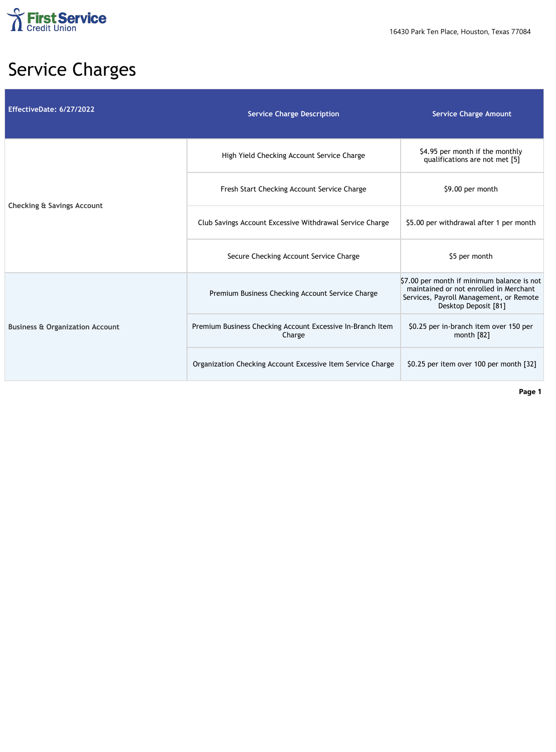

| EffectiveDate: 6/27/2022                   | <b>Service Charge Description</b>                                    | <b>Service Charge Amount</b>                                                                                                                            |
|--------------------------------------------|----------------------------------------------------------------------|---------------------------------------------------------------------------------------------------------------------------------------------------------|
| <b>Checking &amp; Savings Account</b>      | High Yield Checking Account Service Charge                           | \$4.95 per month if the monthly<br>qualifications are not met [5]                                                                                       |
|                                            | Fresh Start Checking Account Service Charge                          | \$9.00 per month                                                                                                                                        |
|                                            | Club Savings Account Excessive Withdrawal Service Charge             | \$5.00 per withdrawal after 1 per month                                                                                                                 |
|                                            | Secure Checking Account Service Charge                               | \$5 per month                                                                                                                                           |
| <b>Business &amp; Organization Account</b> | Premium Business Checking Account Service Charge                     | \$7.00 per month if minimum balance is not<br>maintained or not enrolled in Merchant<br>Services, Payroll Management, or Remote<br>Desktop Deposit [81] |
|                                            | Premium Business Checking Account Excessive In-Branch Item<br>Charge | \$0.25 per in-branch item over 150 per<br>month $[82]$                                                                                                  |
|                                            | Organization Checking Account Excessive Item Service Charge          | \$0.25 per item over 100 per month [32]                                                                                                                 |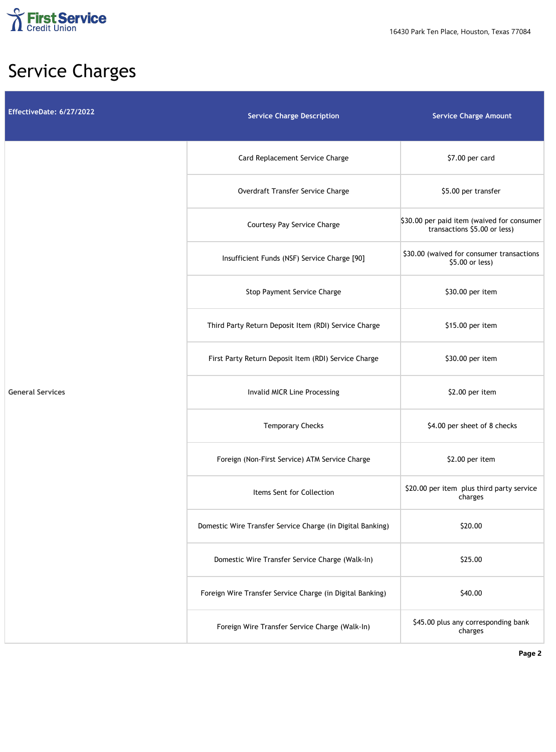

| EffectiveDate: 6/27/2022 | <b>Service Charge Description</b>                          | <b>Service Charge Amount</b>                                               |
|--------------------------|------------------------------------------------------------|----------------------------------------------------------------------------|
| <b>General Services</b>  | Card Replacement Service Charge                            | \$7.00 per card                                                            |
|                          | Overdraft Transfer Service Charge                          | \$5.00 per transfer                                                        |
|                          | Courtesy Pay Service Charge                                | \$30.00 per paid item (waived for consumer<br>transactions \$5.00 or less) |
|                          | Insufficient Funds (NSF) Service Charge [90]               | \$30.00 (waived for consumer transactions<br>\$5.00 or less)               |
|                          | Stop Payment Service Charge                                | \$30.00 per item                                                           |
|                          | Third Party Return Deposit Item (RDI) Service Charge       | \$15.00 per item                                                           |
|                          | First Party Return Deposit Item (RDI) Service Charge       | \$30.00 per item                                                           |
|                          | Invalid MICR Line Processing                               | \$2.00 per item                                                            |
|                          | <b>Temporary Checks</b>                                    | \$4.00 per sheet of 8 checks                                               |
|                          | Foreign (Non-First Service) ATM Service Charge             | \$2.00 per item                                                            |
|                          | Items Sent for Collection                                  | \$20.00 per item plus third party service<br>charges                       |
|                          | Domestic Wire Transfer Service Charge (in Digital Banking) | \$20.00                                                                    |
|                          | Domestic Wire Transfer Service Charge (Walk-In)            | \$25.00                                                                    |
|                          | Foreign Wire Transfer Service Charge (in Digital Banking)  | \$40.00                                                                    |
|                          | Foreign Wire Transfer Service Charge (Walk-In)             | \$45.00 plus any corresponding bank<br>charges                             |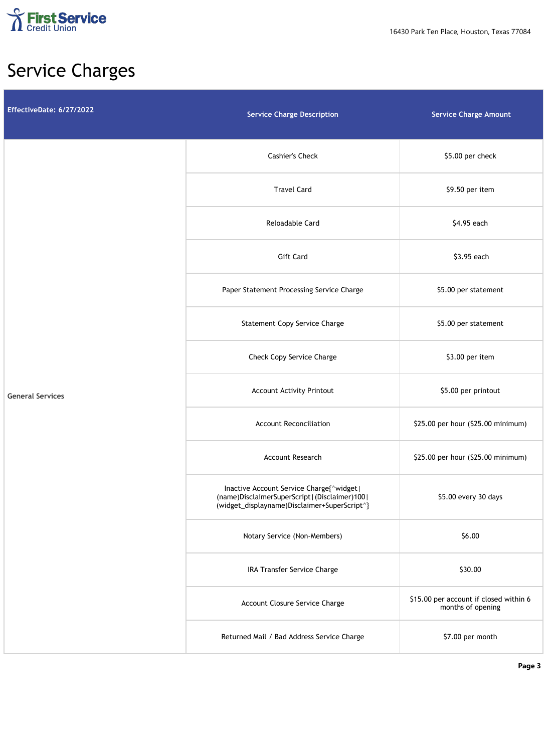

| EffectiveDate: 6/27/2022 | <b>Service Charge Description</b>                                                                                                        | <b>Service Charge Amount</b>                                |
|--------------------------|------------------------------------------------------------------------------------------------------------------------------------------|-------------------------------------------------------------|
| <b>General Services</b>  | <b>Cashier's Check</b>                                                                                                                   | \$5.00 per check                                            |
|                          | <b>Travel Card</b>                                                                                                                       | \$9.50 per item                                             |
|                          | Reloadable Card                                                                                                                          | \$4.95 each                                                 |
|                          | Gift Card                                                                                                                                | \$3.95 each                                                 |
|                          | Paper Statement Processing Service Charge                                                                                                | \$5.00 per statement                                        |
|                          | <b>Statement Copy Service Charge</b>                                                                                                     | \$5.00 per statement                                        |
|                          | Check Copy Service Charge                                                                                                                | \$3.00 per item                                             |
|                          | <b>Account Activity Printout</b>                                                                                                         | \$5.00 per printout                                         |
|                          | <b>Account Reconciliation</b>                                                                                                            | \$25.00 per hour (\$25.00 minimum)                          |
|                          | <b>Account Research</b>                                                                                                                  | \$25.00 per hour (\$25.00 minimum)                          |
|                          | Inactive Account Service Charge{^widget <br>(name)DisclaimerSuperScript (Disclaimer)100 <br>(widget_displayname)Disclaimer+SuperScript^} | \$5.00 every 30 days                                        |
|                          | Notary Service (Non-Members)                                                                                                             | \$6.00                                                      |
|                          | IRA Transfer Service Charge                                                                                                              | \$30.00                                                     |
|                          | Account Closure Service Charge                                                                                                           | \$15.00 per account if closed within 6<br>months of opening |
|                          | Returned Mail / Bad Address Service Charge                                                                                               | \$7.00 per month                                            |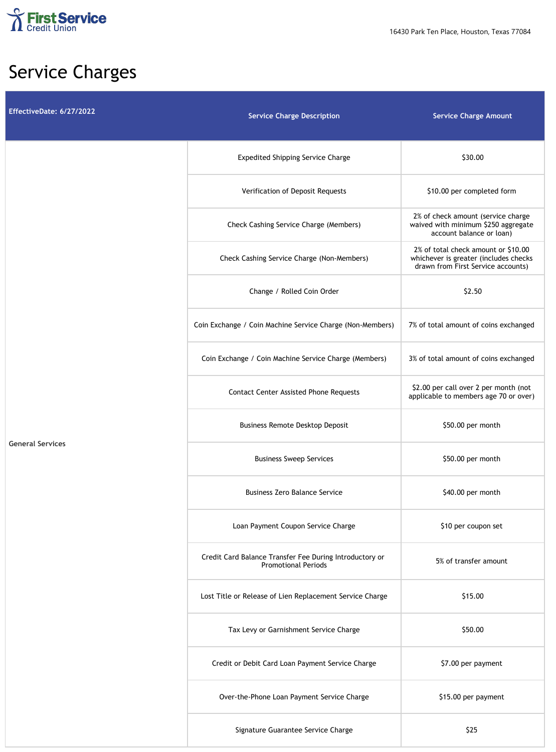

| EffectiveDate: 6/27/2022 | <b>Service Charge Description</b>                                                     | <b>Service Charge Amount</b>                                                                                       |
|--------------------------|---------------------------------------------------------------------------------------|--------------------------------------------------------------------------------------------------------------------|
|                          | <b>Expedited Shipping Service Charge</b>                                              | \$30.00                                                                                                            |
|                          | Verification of Deposit Requests                                                      | \$10.00 per completed form                                                                                         |
|                          | Check Cashing Service Charge (Members)                                                | 2% of check amount (service charge<br>waived with minimum \$250 aggregate<br>account balance or loan)              |
|                          | Check Cashing Service Charge (Non-Members)                                            | 2% of total check amount or \$10.00<br>whichever is greater (includes checks<br>drawn from First Service accounts) |
|                          | Change / Rolled Coin Order                                                            | \$2.50                                                                                                             |
|                          | Coin Exchange / Coin Machine Service Charge (Non-Members)                             | 7% of total amount of coins exchanged                                                                              |
| <b>General Services</b>  | Coin Exchange / Coin Machine Service Charge (Members)                                 | 3% of total amount of coins exchanged                                                                              |
|                          | <b>Contact Center Assisted Phone Requests</b>                                         | \$2.00 per call over 2 per month (not<br>applicable to members age 70 or over)                                     |
|                          | <b>Business Remote Desktop Deposit</b>                                                | \$50.00 per month                                                                                                  |
|                          | <b>Business Sweep Services</b>                                                        | \$50.00 per month                                                                                                  |
|                          | <b>Business Zero Balance Service</b>                                                  | \$40.00 per month                                                                                                  |
|                          | Loan Payment Coupon Service Charge                                                    | \$10 per coupon set                                                                                                |
|                          | Credit Card Balance Transfer Fee During Introductory or<br><b>Promotional Periods</b> | 5% of transfer amount                                                                                              |
|                          | Lost Title or Release of Lien Replacement Service Charge                              | \$15.00                                                                                                            |
|                          | Tax Levy or Garnishment Service Charge                                                | \$50.00                                                                                                            |
|                          | Credit or Debit Card Loan Payment Service Charge                                      | \$7.00 per payment                                                                                                 |
|                          | Over-the-Phone Loan Payment Service Charge                                            | \$15.00 per payment                                                                                                |
|                          | Signature Guarantee Service Charge                                                    | \$25                                                                                                               |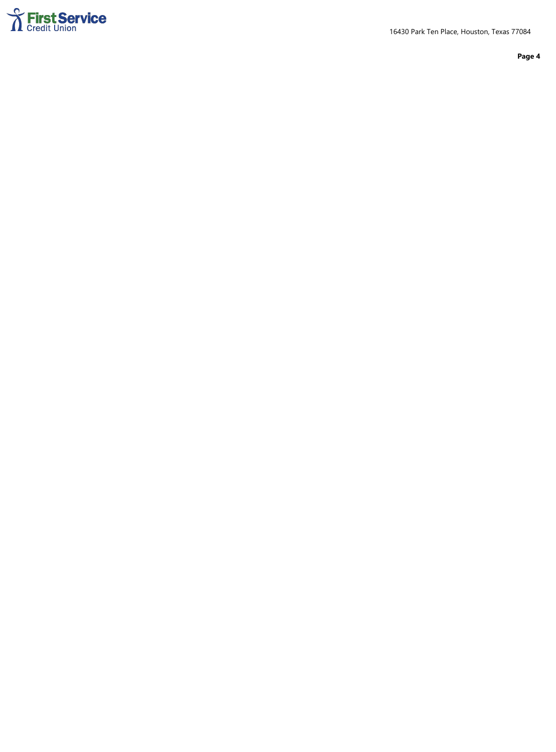

16430 Park Ten Place, Houston, Texas 77084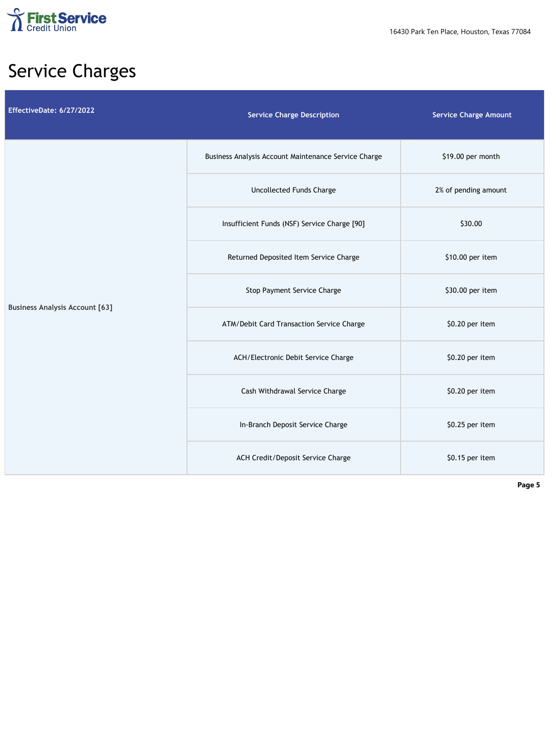

| EffectiveDate: 6/27/2022              | <b>Service Charge Description</b>                    | <b>Service Charge Amount</b> |
|---------------------------------------|------------------------------------------------------|------------------------------|
| <b>Business Analysis Account [63]</b> | Business Analysis Account Maintenance Service Charge | \$19.00 per month            |
|                                       | <b>Uncollected Funds Charge</b>                      | 2% of pending amount         |
|                                       | Insufficient Funds (NSF) Service Charge [90]         | \$30.00                      |
|                                       | Returned Deposited Item Service Charge               | \$10.00 per item             |
|                                       | Stop Payment Service Charge                          | \$30.00 per item             |
|                                       | ATM/Debit Card Transaction Service Charge            | \$0.20 per item              |
|                                       | ACH/Electronic Debit Service Charge                  | \$0.20 per item              |
|                                       | Cash Withdrawal Service Charge                       | \$0.20 per item              |
|                                       | In-Branch Deposit Service Charge                     | \$0.25 per item              |
|                                       | ACH Credit/Deposit Service Charge                    | \$0.15 per item              |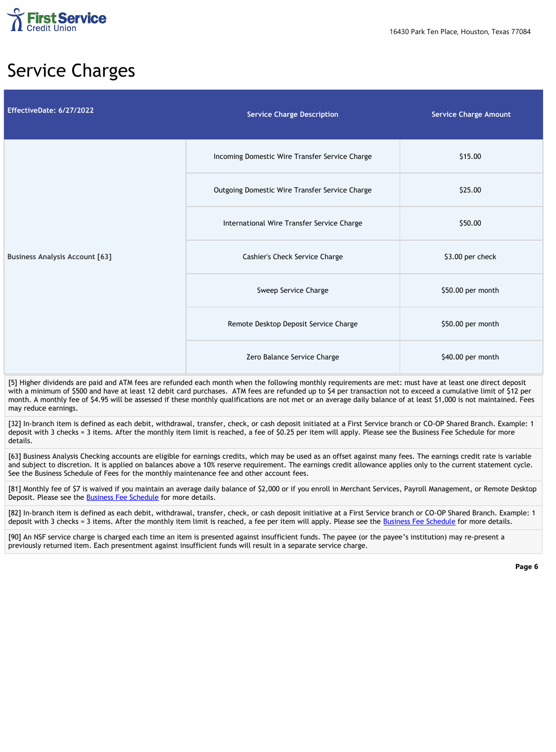

| EffectiveDate: 6/27/2022              | <b>Service Charge Description</b>              | <b>Service Charge Amount</b> |
|---------------------------------------|------------------------------------------------|------------------------------|
| <b>Business Analysis Account [63]</b> | Incoming Domestic Wire Transfer Service Charge | \$15.00                      |
|                                       | Outgoing Domestic Wire Transfer Service Charge | \$25.00                      |
|                                       | International Wire Transfer Service Charge     | \$50.00                      |
|                                       | Cashier's Check Service Charge                 | \$3.00 per check             |
|                                       | Sweep Service Charge                           | \$50.00 per month            |
|                                       | Remote Desktop Deposit Service Charge          | \$50.00 per month            |
|                                       | Zero Balance Service Charge                    | \$40.00 per month            |

[5] Higher dividends are paid and ATM fees are refunded each month when the following monthly requirements are met: must have at least one direct deposit with a minimum of \$500 and have at least 12 debit card purchases. ATM fees are refunded up to \$4 per transaction not to exceed a cumulative limit of \$12 per month. A monthly fee of \$4.95 will be assessed if these monthly qualifications are not met or an average daily balance of at least \$1,000 is not maintained. Fees may reduce earnings.

[32] In-branch item is defined as each debit, withdrawal, transfer, check, or cash deposit initiated at a First Service branch or CO-OP Shared Branch. Example: 1 deposit with 3 checks = 3 items. After the monthly item limit is reached, a fee of \$0.25 per item will apply. Please see the Business Fee Schedule for more details.

[63] Business Analysis Checking accounts are eligible for earnings credits, which may be used as an offset against many fees. The earnings credit rate is variable and subject to discretion. It is applied on balances above a 10% reserve requirement. The earnings credit allowance applies only to the current statement cycle. See the Business Schedule of Fees for the monthly maintenance fee and other account fees.

[81] Monthly fee of \$7 is waived if you maintain an average daily balance of \$2,000 or if you enroll in Merchant Services, Payroll Management, or Remote Desktop Deposit. Please see the **Business Fee Schedule** for more details.

[82] In-branch item is defined as each debit, withdrawal, transfer, check, or cash deposit initiative at a First Service branch or CO-OP Shared Branch. Example: 1 deposit with 3 checks = 3 items. After the monthly item limit is reached, a fee per item will apply. Please see the [Business Fee Schedule](https://www.fscu.com/Business/Business-Account-Rates-Fees) for more details.

[90] An NSF service charge is charged each time an item is presented against insufficient funds. The payee (or the payee's institution) may re-present a previously returned item. Each presentment against insufficient funds will result in a separate service charge.